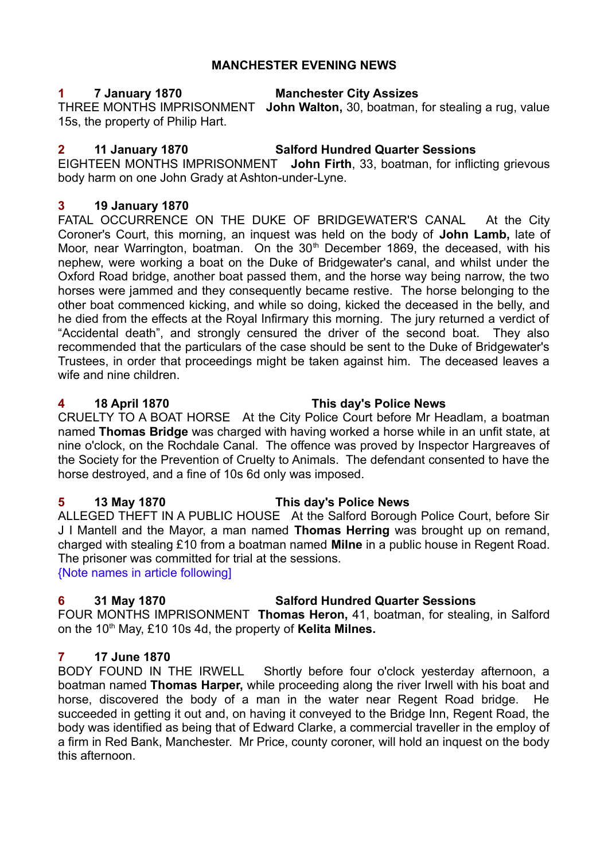#### **MANCHESTER EVENING NEWS**

# **1 7 January 1870 Manchester City Assizes**

THREE MONTHS IMPRISONMENT **John Walton,** 30, boatman, for stealing a rug, value 15s, the property of Philip Hart.

# **2 11 January 1870 Salford Hundred Quarter Sessions**

EIGHTEEN MONTHS IMPRISONMENT **John Firth**, 33, boatman, for inflicting grievous body harm on one John Grady at Ashton-under-Lyne.

#### **3 19 January 1870**

FATAL OCCURRENCE ON THE DUKE OF BRIDGEWATER'S CANAL At the City Coroner's Court, this morning, an inquest was held on the body of **John Lamb,** late of Moor, near Warrington, boatman. On the 30<sup>th</sup> December 1869, the deceased, with his nephew, were working a boat on the Duke of Bridgewater's canal, and whilst under the Oxford Road bridge, another boat passed them, and the horse way being narrow, the two horses were jammed and they consequently became restive. The horse belonging to the other boat commenced kicking, and while so doing, kicked the deceased in the belly, and he died from the effects at the Royal Infirmary this morning. The jury returned a verdict of "Accidental death", and strongly censured the driver of the second boat. They also recommended that the particulars of the case should be sent to the Duke of Bridgewater's Trustees, in order that proceedings might be taken against him. The deceased leaves a wife and nine children.

#### **4 18 April 1870 This day's Police News**

CRUELTY TO A BOAT HORSE At the City Police Court before Mr Headlam, a boatman named **Thomas Bridge** was charged with having worked a horse while in an unfit state, at nine o'clock, on the Rochdale Canal. The offence was proved by Inspector Hargreaves of the Society for the Prevention of Cruelty to Animals. The defendant consented to have the horse destroyed, and a fine of 10s 6d only was imposed.

#### **5 13 May 1870 This day's Police News**

ALLEGED THEFT IN A PUBLIC HOUSE At the Salford Borough Police Court, before Sir J I Mantell and the Mayor, a man named **Thomas Herring** was brought up on remand, charged with stealing £10 from a boatman named **Milne** in a public house in Regent Road. The prisoner was committed for trial at the sessions.

{Note names in article following]

## **6 31 May 1870 Salford Hundred Quarter Sessions**

FOUR MONTHS IMPRISONMENT **Thomas Heron,** 41, boatman, for stealing, in Salford on the 10th May, £10 10s 4d, the property of **Kelita Milnes.**

## **7 17 June 1870**

BODY FOUND IN THE IRWELL Shortly before four o'clock yesterday afternoon, a boatman named **Thomas Harper,** while proceeding along the river Irwell with his boat and horse, discovered the body of a man in the water near Regent Road bridge. He succeeded in getting it out and, on having it conveyed to the Bridge Inn, Regent Road, the body was identified as being that of Edward Clarke, a commercial traveller in the employ of a firm in Red Bank, Manchester. Mr Price, county coroner, will hold an inquest on the body this afternoon.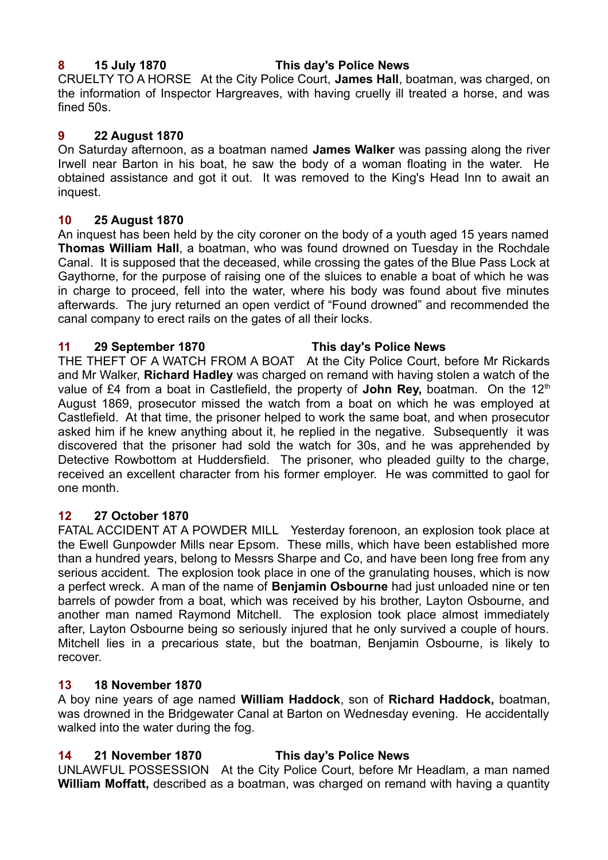#### **8 15 July 1870 This day's Police News**

CRUELTY TO A HORSE At the City Police Court, **James Hall**, boatman, was charged, on the information of Inspector Hargreaves, with having cruelly ill treated a horse, and was fined 50s.

#### **9 22 August 1870**

On Saturday afternoon, as a boatman named **James Walker** was passing along the river Irwell near Barton in his boat, he saw the body of a woman floating in the water. He obtained assistance and got it out. It was removed to the King's Head Inn to await an inquest.

#### **10 25 August 1870**

An inquest has been held by the city coroner on the body of a youth aged 15 years named **Thomas William Hall**, a boatman, who was found drowned on Tuesday in the Rochdale Canal. It is supposed that the deceased, while crossing the gates of the Blue Pass Lock at Gaythorne, for the purpose of raising one of the sluices to enable a boat of which he was in charge to proceed, fell into the water, where his body was found about five minutes afterwards. The jury returned an open verdict of "Found drowned" and recommended the canal company to erect rails on the gates of all their locks.

#### **11 29 September 1870 This day's Police News**

THE THEFT OF A WATCH FROM A BOAT At the City Police Court, before Mr Rickards and Mr Walker, **Richard Hadley** was charged on remand with having stolen a watch of the value of £4 from a boat in Castlefield, the property of **John Rey,** boatman. On the 12<sup>th</sup> August 1869, prosecutor missed the watch from a boat on which he was employed at Castlefield. At that time, the prisoner helped to work the same boat, and when prosecutor asked him if he knew anything about it, he replied in the negative. Subsequently it was discovered that the prisoner had sold the watch for 30s, and he was apprehended by Detective Rowbottom at Huddersfield. The prisoner, who pleaded guilty to the charge, received an excellent character from his former employer. He was committed to gaol for one month.

## **12 27 October 1870**

FATAL ACCIDENT AT A POWDER MILL Yesterday forenoon, an explosion took place at the Ewell Gunpowder Mills near Epsom. These mills, which have been established more than a hundred years, belong to Messrs Sharpe and Co, and have been long free from any serious accident. The explosion took place in one of the granulating houses, which is now a perfect wreck. A man of the name of **Benjamin Osbourne** had just unloaded nine or ten barrels of powder from a boat, which was received by his brother, Layton Osbourne, and another man named Raymond Mitchell. The explosion took place almost immediately after, Layton Osbourne being so seriously injured that he only survived a couple of hours. Mitchell lies in a precarious state, but the boatman, Benjamin Osbourne, is likely to recover.

#### **13 18 November 1870**

A boy nine years of age named **William Haddock**, son of **Richard Haddock,** boatman, was drowned in the Bridgewater Canal at Barton on Wednesday evening. He accidentally walked into the water during the fog.

## **14 21 November 1870 This day's Police News**

UNLAWFUL POSSESSION At the City Police Court, before Mr Headlam, a man named **William Moffatt,** described as a boatman, was charged on remand with having a quantity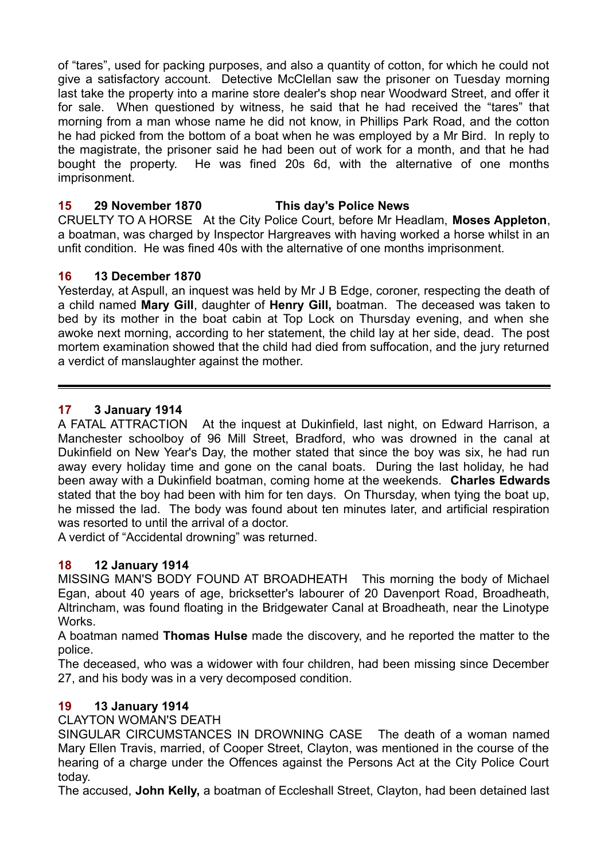of "tares", used for packing purposes, and also a quantity of cotton, for which he could not give a satisfactory account. Detective McClellan saw the prisoner on Tuesday morning last take the property into a marine store dealer's shop near Woodward Street, and offer it for sale. When questioned by witness, he said that he had received the "tares" that morning from a man whose name he did not know, in Phillips Park Road, and the cotton he had picked from the bottom of a boat when he was employed by a Mr Bird. In reply to the magistrate, the prisoner said he had been out of work for a month, and that he had bought the property. He was fined 20s 6d, with the alternative of one months imprisonment.

# **15 29 November 1870 This day's Police News**

CRUELTY TO A HORSE At the City Police Court, before Mr Headlam, **Moses Appleton**, a boatman, was charged by Inspector Hargreaves with having worked a horse whilst in an unfit condition. He was fined 40s with the alternative of one months imprisonment.

## **16 13 December 1870**

Yesterday, at Aspull, an inquest was held by Mr J B Edge, coroner, respecting the death of a child named **Mary Gill**, daughter of **Henry Gill,** boatman. The deceased was taken to bed by its mother in the boat cabin at Top Lock on Thursday evening, and when she awoke next morning, according to her statement, the child lay at her side, dead. The post mortem examination showed that the child had died from suffocation, and the jury returned a verdict of manslaughter against the mother.

# **17 3 January 1914**

A FATAL ATTRACTION At the inquest at Dukinfield, last night, on Edward Harrison, a Manchester schoolboy of 96 Mill Street, Bradford, who was drowned in the canal at Dukinfield on New Year's Day, the mother stated that since the boy was six, he had run away every holiday time and gone on the canal boats. During the last holiday, he had been away with a Dukinfield boatman, coming home at the weekends. **Charles Edwards** stated that the boy had been with him for ten days. On Thursday, when tying the boat up, he missed the lad. The body was found about ten minutes later, and artificial respiration was resorted to until the arrival of a doctor.

A verdict of "Accidental drowning" was returned.

## **18 12 January 1914**

MISSING MAN'S BODY FOUND AT BROADHEATH This morning the body of Michael Egan, about 40 years of age, bricksetter's labourer of 20 Davenport Road, Broadheath, Altrincham, was found floating in the Bridgewater Canal at Broadheath, near the Linotype **Works** 

A boatman named **Thomas Hulse** made the discovery, and he reported the matter to the police.

The deceased, who was a widower with four children, had been missing since December 27, and his body was in a very decomposed condition.

## **19 13 January 1914**

CLAYTON WOMAN'S DEATH

SINGULAR CIRCUMSTANCES IN DROWNING CASE The death of a woman named Mary Ellen Travis, married, of Cooper Street, Clayton, was mentioned in the course of the hearing of a charge under the Offences against the Persons Act at the City Police Court today.

The accused, **John Kelly,** a boatman of Eccleshall Street, Clayton, had been detained last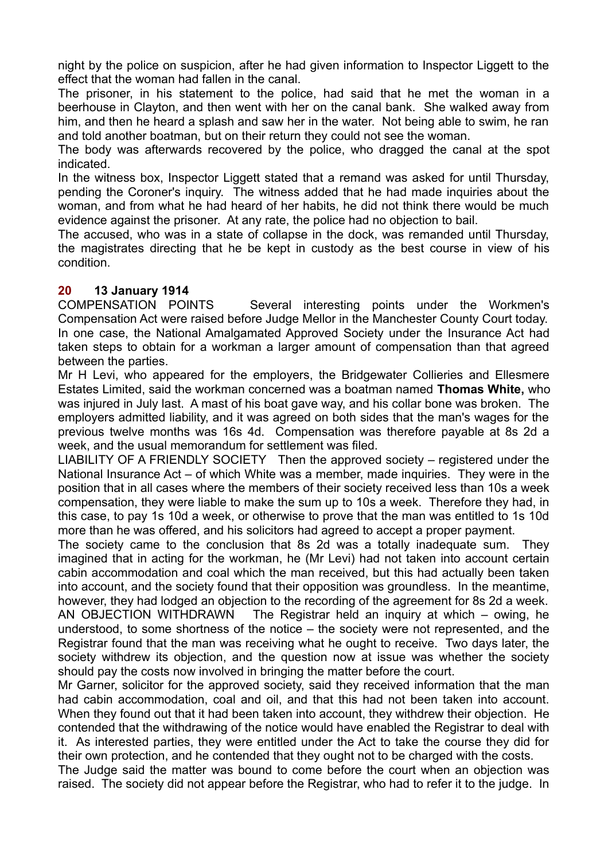night by the police on suspicion, after he had given information to Inspector Liggett to the effect that the woman had fallen in the canal.

The prisoner, in his statement to the police, had said that he met the woman in a beerhouse in Clayton, and then went with her on the canal bank. She walked away from him, and then he heard a splash and saw her in the water. Not being able to swim, he ran and told another boatman, but on their return they could not see the woman.

The body was afterwards recovered by the police, who dragged the canal at the spot indicated.

In the witness box, Inspector Liggett stated that a remand was asked for until Thursday, pending the Coroner's inquiry. The witness added that he had made inquiries about the woman, and from what he had heard of her habits, he did not think there would be much evidence against the prisoner. At any rate, the police had no objection to bail.

The accused, who was in a state of collapse in the dock, was remanded until Thursday, the magistrates directing that he be kept in custody as the best course in view of his condition.

#### **20 13 January 1914**

COMPENSATION POINTS Several interesting points under the Workmen's Compensation Act were raised before Judge Mellor in the Manchester County Court today. In one case, the National Amalgamated Approved Society under the Insurance Act had taken steps to obtain for a workman a larger amount of compensation than that agreed between the parties.

Mr H Levi, who appeared for the employers, the Bridgewater Collieries and Ellesmere Estates Limited, said the workman concerned was a boatman named **Thomas White,** who was injured in July last. A mast of his boat gave way, and his collar bone was broken. The employers admitted liability, and it was agreed on both sides that the man's wages for the previous twelve months was 16s 4d. Compensation was therefore payable at 8s 2d a week, and the usual memorandum for settlement was filed.

LIABILITY OF A FRIENDLY SOCIETY Then the approved society – registered under the National Insurance Act – of which White was a member, made inquiries. They were in the position that in all cases where the members of their society received less than 10s a week compensation, they were liable to make the sum up to 10s a week. Therefore they had, in this case, to pay 1s 10d a week, or otherwise to prove that the man was entitled to 1s 10d more than he was offered, and his solicitors had agreed to accept a proper payment.

The society came to the conclusion that 8s 2d was a totally inadequate sum. They imagined that in acting for the workman, he (Mr Levi) had not taken into account certain cabin accommodation and coal which the man received, but this had actually been taken into account, and the society found that their opposition was groundless. In the meantime, however, they had lodged an objection to the recording of the agreement for 8s 2d a week. AN OBJECTION WITHDRAWN The Registrar held an inquiry at which – owing, he understood, to some shortness of the notice – the society were not represented, and the Registrar found that the man was receiving what he ought to receive. Two days later, the society withdrew its objection, and the question now at issue was whether the society should pay the costs now involved in bringing the matter before the court.

Mr Garner, solicitor for the approved society, said they received information that the man had cabin accommodation, coal and oil, and that this had not been taken into account. When they found out that it had been taken into account, they withdrew their objection. He contended that the withdrawing of the notice would have enabled the Registrar to deal with it. As interested parties, they were entitled under the Act to take the course they did for their own protection, and he contended that they ought not to be charged with the costs.

The Judge said the matter was bound to come before the court when an objection was raised. The society did not appear before the Registrar, who had to refer it to the judge. In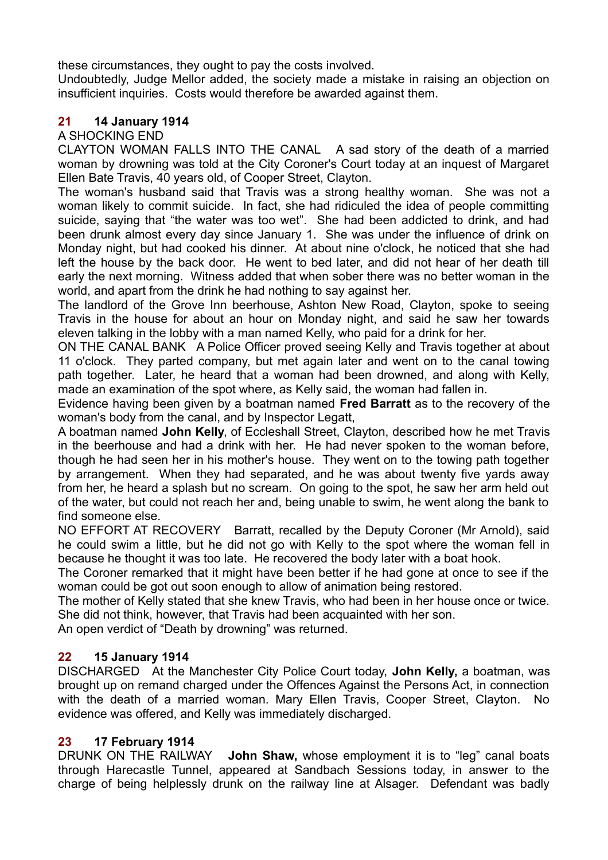these circumstances, they ought to pay the costs involved.

Undoubtedly, Judge Mellor added, the society made a mistake in raising an objection on insufficient inquiries. Costs would therefore be awarded against them.

# **21 14 January 1914**

A SHOCKING END

CLAYTON WOMAN FALLS INTO THE CANAL A sad story of the death of a married woman by drowning was told at the City Coroner's Court today at an inquest of Margaret Ellen Bate Travis, 40 years old, of Cooper Street, Clayton.

The woman's husband said that Travis was a strong healthy woman. She was not a woman likely to commit suicide. In fact, she had ridiculed the idea of people committing suicide, saying that "the water was too wet". She had been addicted to drink, and had been drunk almost every day since January 1. She was under the influence of drink on Monday night, but had cooked his dinner. At about nine o'clock, he noticed that she had left the house by the back door. He went to bed later, and did not hear of her death till early the next morning. Witness added that when sober there was no better woman in the world, and apart from the drink he had nothing to say against her.

The landlord of the Grove Inn beerhouse, Ashton New Road, Clayton, spoke to seeing Travis in the house for about an hour on Monday night, and said he saw her towards eleven talking in the lobby with a man named Kelly, who paid for a drink for her.

ON THE CANAL BANK A Police Officer proved seeing Kelly and Travis together at about 11 o'clock. They parted company, but met again later and went on to the canal towing path together. Later, he heard that a woman had been drowned, and along with Kelly, made an examination of the spot where, as Kelly said, the woman had fallen in.

Evidence having been given by a boatman named **Fred Barratt** as to the recovery of the woman's body from the canal, and by Inspector Legatt,

A boatman named **John Kelly**, of Eccleshall Street, Clayton, described how he met Travis in the beerhouse and had a drink with her. He had never spoken to the woman before, though he had seen her in his mother's house. They went on to the towing path together by arrangement. When they had separated, and he was about twenty five yards away from her, he heard a splash but no scream. On going to the spot, he saw her arm held out of the water, but could not reach her and, being unable to swim, he went along the bank to find someone else.

NO EFFORT AT RECOVERY Barratt, recalled by the Deputy Coroner (Mr Arnold), said he could swim a little, but he did not go with Kelly to the spot where the woman fell in because he thought it was too late. He recovered the body later with a boat hook.

The Coroner remarked that it might have been better if he had gone at once to see if the woman could be got out soon enough to allow of animation being restored.

The mother of Kelly stated that she knew Travis, who had been in her house once or twice. She did not think, however, that Travis had been acquainted with her son.

An open verdict of "Death by drowning" was returned.

## **22 15 January 1914**

DISCHARGED At the Manchester City Police Court today, **John Kelly,** a boatman, was brought up on remand charged under the Offences Against the Persons Act, in connection with the death of a married woman. Mary Ellen Travis, Cooper Street, Clayton. No evidence was offered, and Kelly was immediately discharged.

#### **23 17 February 1914**

DRUNK ON THE RAILWAY **John Shaw,** whose employment it is to "leg" canal boats through Harecastle Tunnel, appeared at Sandbach Sessions today, in answer to the charge of being helplessly drunk on the railway line at Alsager. Defendant was badly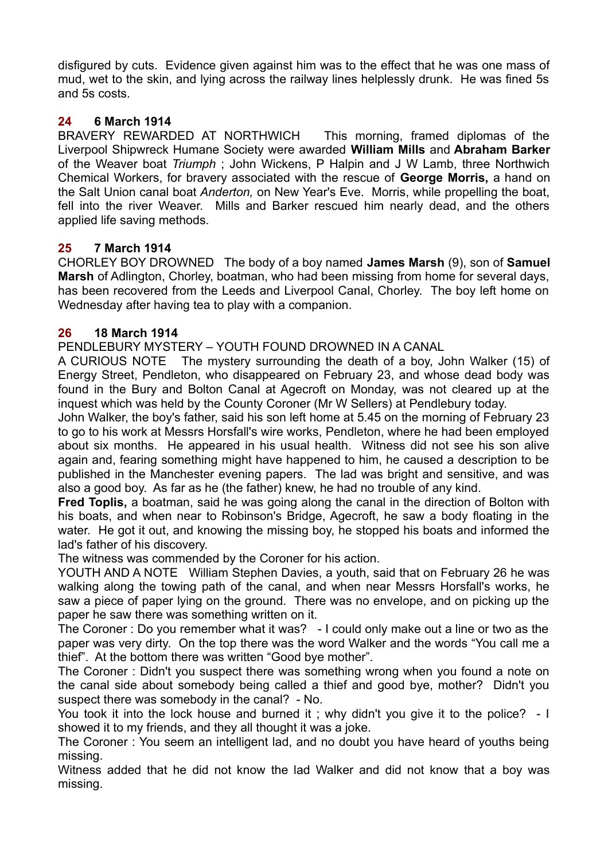disfigured by cuts. Evidence given against him was to the effect that he was one mass of mud, wet to the skin, and lying across the railway lines helplessly drunk. He was fined 5s and 5s costs.

# **24 6 March 1914**

BRAVERY REWARDED AT NORTHWICH This morning, framed diplomas of the Liverpool Shipwreck Humane Society were awarded **William Mills** and **Abraham Barker** of the Weaver boat *Triumph* ; John Wickens, P Halpin and J W Lamb, three Northwich Chemical Workers, for bravery associated with the rescue of **George Morris,** a hand on the Salt Union canal boat *Anderton,* on New Year's Eve. Morris, while propelling the boat, fell into the river Weaver. Mills and Barker rescued him nearly dead, and the others applied life saving methods.

# **25 7 March 1914**

CHORLEY BOY DROWNED The body of a boy named **James Marsh** (9), son of **Samuel Marsh** of Adlington, Chorley, boatman, who had been missing from home for several days, has been recovered from the Leeds and Liverpool Canal, Chorley. The boy left home on Wednesday after having tea to play with a companion.

# **26 18 March 1914**

PENDLEBURY MYSTERY – YOUTH FOUND DROWNED IN A CANAL

A CURIOUS NOTE The mystery surrounding the death of a boy, John Walker (15) of Energy Street, Pendleton, who disappeared on February 23, and whose dead body was found in the Bury and Bolton Canal at Agecroft on Monday, was not cleared up at the inquest which was held by the County Coroner (Mr W Sellers) at Pendlebury today.

John Walker, the boy's father, said his son left home at 5.45 on the morning of February 23 to go to his work at Messrs Horsfall's wire works, Pendleton, where he had been employed about six months. He appeared in his usual health. Witness did not see his son alive again and, fearing something might have happened to him, he caused a description to be published in the Manchester evening papers. The lad was bright and sensitive, and was also a good boy. As far as he (the father) knew, he had no trouble of any kind.

**Fred Toplis,** a boatman, said he was going along the canal in the direction of Bolton with his boats, and when near to Robinson's Bridge, Agecroft, he saw a body floating in the water. He got it out, and knowing the missing boy, he stopped his boats and informed the lad's father of his discovery.

The witness was commended by the Coroner for his action.

YOUTH AND A NOTE William Stephen Davies, a youth, said that on February 26 he was walking along the towing path of the canal, and when near Messrs Horsfall's works, he saw a piece of paper lying on the ground. There was no envelope, and on picking up the paper he saw there was something written on it.

The Coroner : Do you remember what it was? - I could only make out a line or two as the paper was very dirty. On the top there was the word Walker and the words "You call me a thief". At the bottom there was written "Good bye mother".

The Coroner : Didn't you suspect there was something wrong when you found a note on the canal side about somebody being called a thief and good bye, mother? Didn't you suspect there was somebody in the canal? - No.

You took it into the lock house and burned it ; why didn't you give it to the police? - I showed it to my friends, and they all thought it was a joke.

The Coroner : You seem an intelligent lad, and no doubt you have heard of youths being missing.

Witness added that he did not know the lad Walker and did not know that a boy was missing.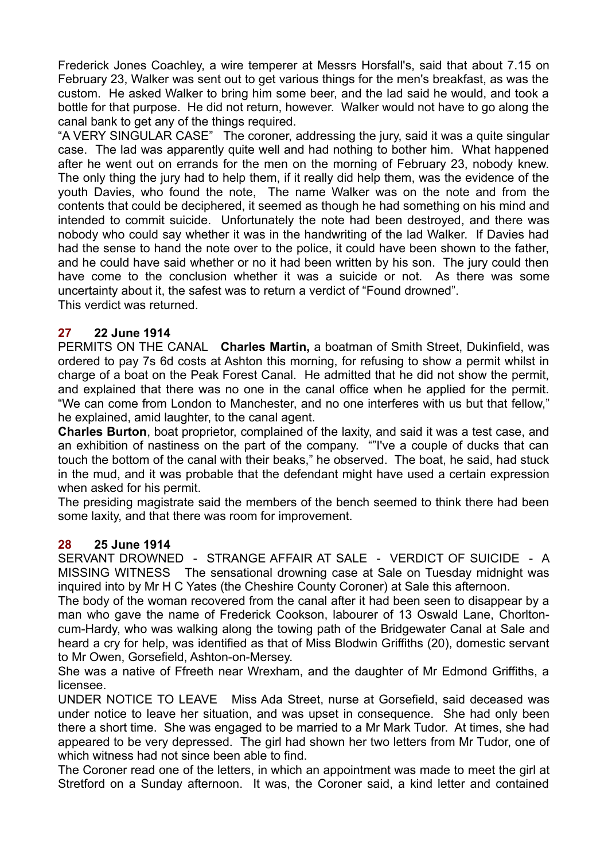Frederick Jones Coachley, a wire temperer at Messrs Horsfall's, said that about 7.15 on February 23, Walker was sent out to get various things for the men's breakfast, as was the custom. He asked Walker to bring him some beer, and the lad said he would, and took a bottle for that purpose. He did not return, however. Walker would not have to go along the canal bank to get any of the things required.

"A VERY SINGULAR CASE" The coroner, addressing the jury, said it was a quite singular case. The lad was apparently quite well and had nothing to bother him. What happened after he went out on errands for the men on the morning of February 23, nobody knew. The only thing the jury had to help them, if it really did help them, was the evidence of the youth Davies, who found the note, The name Walker was on the note and from the contents that could be deciphered, it seemed as though he had something on his mind and intended to commit suicide. Unfortunately the note had been destroyed, and there was nobody who could say whether it was in the handwriting of the lad Walker. If Davies had had the sense to hand the note over to the police, it could have been shown to the father, and he could have said whether or no it had been written by his son. The jury could then have come to the conclusion whether it was a suicide or not. As there was some uncertainty about it, the safest was to return a verdict of "Found drowned". This verdict was returned.

#### **27 22 June 1914**

PERMITS ON THE CANAL **Charles Martin,** a boatman of Smith Street, Dukinfield, was ordered to pay 7s 6d costs at Ashton this morning, for refusing to show a permit whilst in charge of a boat on the Peak Forest Canal. He admitted that he did not show the permit, and explained that there was no one in the canal office when he applied for the permit. "We can come from London to Manchester, and no one interferes with us but that fellow," he explained, amid laughter, to the canal agent.

**Charles Burton**, boat proprietor, complained of the laxity, and said it was a test case, and an exhibition of nastiness on the part of the company. ""I've a couple of ducks that can touch the bottom of the canal with their beaks," he observed. The boat, he said, had stuck in the mud, and it was probable that the defendant might have used a certain expression when asked for his permit.

The presiding magistrate said the members of the bench seemed to think there had been some laxity, and that there was room for improvement.

#### **28 25 June 1914**

SERVANT DROWNED - STRANGE AFFAIR AT SALE - VERDICT OF SUICIDE - A MISSING WITNESS The sensational drowning case at Sale on Tuesday midnight was inquired into by Mr H C Yates (the Cheshire County Coroner) at Sale this afternoon.

The body of the woman recovered from the canal after it had been seen to disappear by a man who gave the name of Frederick Cookson, labourer of 13 Oswald Lane, Chorltoncum-Hardy, who was walking along the towing path of the Bridgewater Canal at Sale and heard a cry for help, was identified as that of Miss Blodwin Griffiths (20), domestic servant to Mr Owen, Gorsefield, Ashton-on-Mersey.

She was a native of Ffreeth near Wrexham, and the daughter of Mr Edmond Griffiths, a licensee.

UNDER NOTICE TO LEAVE Miss Ada Street, nurse at Gorsefield, said deceased was under notice to leave her situation, and was upset in consequence. She had only been there a short time. She was engaged to be married to a Mr Mark Tudor. At times, she had appeared to be very depressed. The girl had shown her two letters from Mr Tudor, one of which witness had not since been able to find.

The Coroner read one of the letters, in which an appointment was made to meet the girl at Stretford on a Sunday afternoon. It was, the Coroner said, a kind letter and contained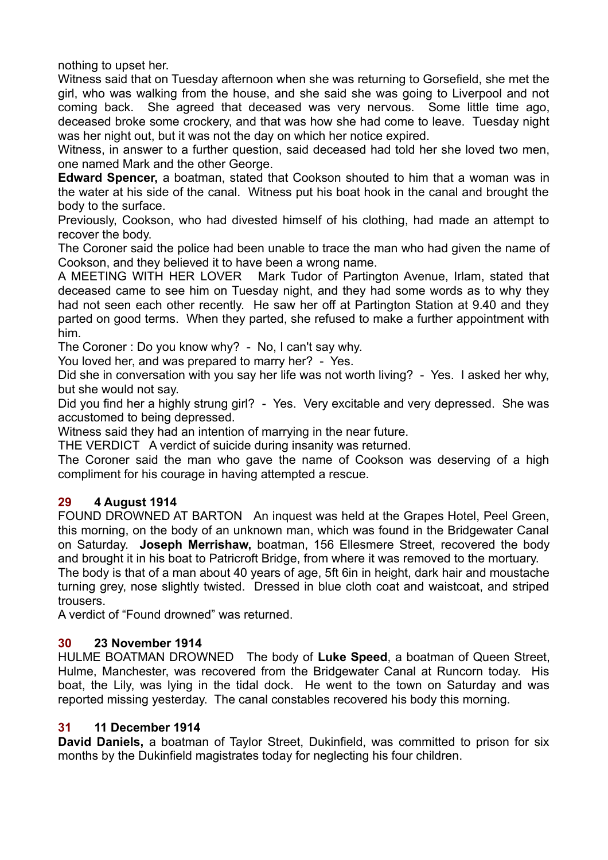nothing to upset her.

Witness said that on Tuesday afternoon when she was returning to Gorsefield, she met the girl, who was walking from the house, and she said she was going to Liverpool and not coming back. She agreed that deceased was very nervous. Some little time ago, deceased broke some crockery, and that was how she had come to leave. Tuesday night was her night out, but it was not the day on which her notice expired.

Witness, in answer to a further question, said deceased had told her she loved two men, one named Mark and the other George.

**Edward Spencer,** a boatman, stated that Cookson shouted to him that a woman was in the water at his side of the canal. Witness put his boat hook in the canal and brought the body to the surface.

Previously, Cookson, who had divested himself of his clothing, had made an attempt to recover the body.

The Coroner said the police had been unable to trace the man who had given the name of Cookson, and they believed it to have been a wrong name.

A MEETING WITH HER LOVER Mark Tudor of Partington Avenue, Irlam, stated that deceased came to see him on Tuesday night, and they had some words as to why they had not seen each other recently. He saw her off at Partington Station at 9.40 and they parted on good terms. When they parted, she refused to make a further appointment with him.

The Coroner : Do you know why? - No, I can't say why.

You loved her, and was prepared to marry her? - Yes.

Did she in conversation with you say her life was not worth living? - Yes. I asked her why, but she would not say.

Did you find her a highly strung girl? - Yes. Very excitable and very depressed. She was accustomed to being depressed.

Witness said they had an intention of marrying in the near future.

THE VERDICT A verdict of suicide during insanity was returned.

The Coroner said the man who gave the name of Cookson was deserving of a high compliment for his courage in having attempted a rescue.

## **29 4 August 1914**

FOUND DROWNED AT BARTON An inquest was held at the Grapes Hotel, Peel Green, this morning, on the body of an unknown man, which was found in the Bridgewater Canal on Saturday. **Joseph Merrishaw,** boatman, 156 Ellesmere Street, recovered the body and brought it in his boat to Patricroft Bridge, from where it was removed to the mortuary.

The body is that of a man about 40 years of age, 5ft 6in in height, dark hair and moustache turning grey, nose slightly twisted. Dressed in blue cloth coat and waistcoat, and striped trousers.

A verdict of "Found drowned" was returned.

## **30 23 November 1914**

HULME BOATMAN DROWNED The body of **Luke Speed**, a boatman of Queen Street, Hulme, Manchester, was recovered from the Bridgewater Canal at Runcorn today. His boat, the Lily, was lying in the tidal dock. He went to the town on Saturday and was reported missing yesterday. The canal constables recovered his body this morning.

#### **31 11 December 1914**

**David Daniels,** a boatman of Taylor Street, Dukinfield, was committed to prison for six months by the Dukinfield magistrates today for neglecting his four children.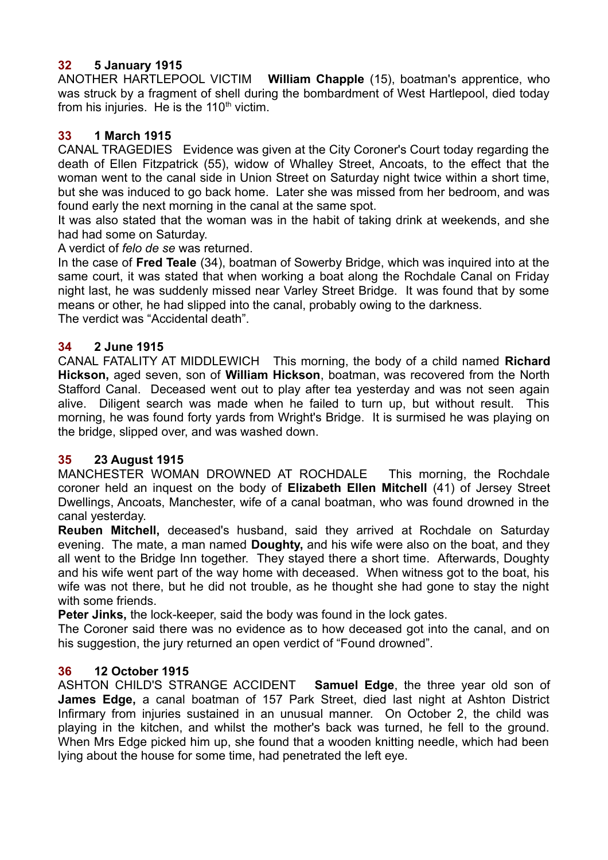# **32 5 January 1915**

ANOTHER HARTLEPOOL VICTIM **William Chapple** (15), boatman's apprentice, who was struck by a fragment of shell during the bombardment of West Hartlepool, died today from his injuries. He is the  $110<sup>th</sup>$  victim.

## **33 1 March 1915**

CANAL TRAGEDIES Evidence was given at the City Coroner's Court today regarding the death of Ellen Fitzpatrick (55), widow of Whalley Street, Ancoats, to the effect that the woman went to the canal side in Union Street on Saturday night twice within a short time, but she was induced to go back home. Later she was missed from her bedroom, and was found early the next morning in the canal at the same spot.

It was also stated that the woman was in the habit of taking drink at weekends, and she had had some on Saturday.

#### A verdict of *felo de se* was returned.

In the case of **Fred Teale** (34), boatman of Sowerby Bridge, which was inquired into at the same court, it was stated that when working a boat along the Rochdale Canal on Friday night last, he was suddenly missed near Varley Street Bridge. It was found that by some means or other, he had slipped into the canal, probably owing to the darkness. The verdict was "Accidental death".

## **34 2 June 1915**

CANAL FATALITY AT MIDDLEWICH This morning, the body of a child named **Richard Hickson,** aged seven, son of **William Hickson**, boatman, was recovered from the North Stafford Canal. Deceased went out to play after tea yesterday and was not seen again alive. Diligent search was made when he failed to turn up, but without result. This morning, he was found forty yards from Wright's Bridge. It is surmised he was playing on the bridge, slipped over, and was washed down.

## **35 23 August 1915**

MANCHESTER WOMAN DROWNED AT ROCHDALE This morning, the Rochdale coroner held an inquest on the body of **Elizabeth Ellen Mitchell** (41) of Jersey Street Dwellings, Ancoats, Manchester, wife of a canal boatman, who was found drowned in the canal yesterday.

**Reuben Mitchell,** deceased's husband, said they arrived at Rochdale on Saturday evening. The mate, a man named **Doughty,** and his wife were also on the boat, and they all went to the Bridge Inn together. They stayed there a short time. Afterwards, Doughty and his wife went part of the way home with deceased. When witness got to the boat, his wife was not there, but he did not trouble, as he thought she had gone to stay the night with some friends.

**Peter Jinks,** the lock-keeper, said the body was found in the lock gates.

The Coroner said there was no evidence as to how deceased got into the canal, and on his suggestion, the jury returned an open verdict of "Found drowned".

## **36 12 October 1915**

ASHTON CHILD'S STRANGE ACCIDENT **Samuel Edge**, the three year old son of **James Edge,** a canal boatman of 157 Park Street, died last night at Ashton District Infirmary from injuries sustained in an unusual manner. On October 2, the child was playing in the kitchen, and whilst the mother's back was turned, he fell to the ground. When Mrs Edge picked him up, she found that a wooden knitting needle, which had been lying about the house for some time, had penetrated the left eye.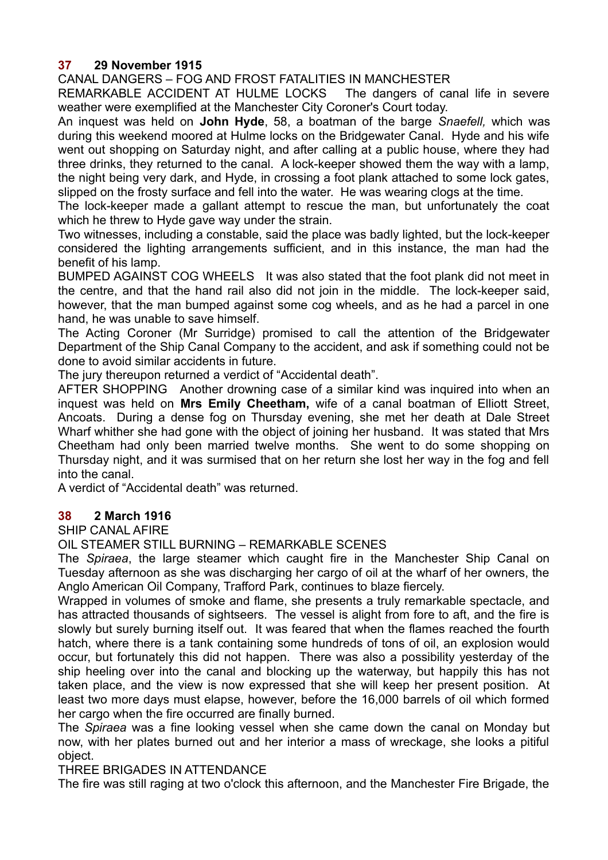# **37 29 November 1915**

CANAL DANGERS – FOG AND FROST FATALITIES IN MANCHESTER

REMARKABLE ACCIDENT AT HULME LOCKS The dangers of canal life in severe weather were exemplified at the Manchester City Coroner's Court today.

An inquest was held on **John Hyde**, 58, a boatman of the barge *Snaefell,* which was during this weekend moored at Hulme locks on the Bridgewater Canal. Hyde and his wife went out shopping on Saturday night, and after calling at a public house, where they had three drinks, they returned to the canal. A lock-keeper showed them the way with a lamp, the night being very dark, and Hyde, in crossing a foot plank attached to some lock gates, slipped on the frosty surface and fell into the water. He was wearing clogs at the time.

The lock-keeper made a gallant attempt to rescue the man, but unfortunately the coat which he threw to Hyde gave way under the strain.

Two witnesses, including a constable, said the place was badly lighted, but the lock-keeper considered the lighting arrangements sufficient, and in this instance, the man had the benefit of his lamp.

BUMPED AGAINST COG WHEELS It was also stated that the foot plank did not meet in the centre, and that the hand rail also did not join in the middle. The lock-keeper said, however, that the man bumped against some cog wheels, and as he had a parcel in one hand, he was unable to save himself.

The Acting Coroner (Mr Surridge) promised to call the attention of the Bridgewater Department of the Ship Canal Company to the accident, and ask if something could not be done to avoid similar accidents in future.

The jury thereupon returned a verdict of "Accidental death".

AFTER SHOPPING Another drowning case of a similar kind was inquired into when an inquest was held on **Mrs Emily Cheetham,** wife of a canal boatman of Elliott Street, Ancoats. During a dense fog on Thursday evening, she met her death at Dale Street Wharf whither she had gone with the object of joining her husband. It was stated that Mrs Cheetham had only been married twelve months. She went to do some shopping on Thursday night, and it was surmised that on her return she lost her way in the fog and fell into the canal.

A verdict of "Accidental death" was returned.

#### **38 2 March 1916**

SHIP CANAL AFIRE

OIL STEAMER STILL BURNING – REMARKABLE SCENES

The *Spiraea*, the large steamer which caught fire in the Manchester Ship Canal on Tuesday afternoon as she was discharging her cargo of oil at the wharf of her owners, the Anglo American Oil Company, Trafford Park, continues to blaze fiercely.

Wrapped in volumes of smoke and flame, she presents a truly remarkable spectacle, and has attracted thousands of sightseers. The vessel is alight from fore to aft, and the fire is slowly but surely burning itself out. It was feared that when the flames reached the fourth hatch, where there is a tank containing some hundreds of tons of oil, an explosion would occur, but fortunately this did not happen. There was also a possibility yesterday of the ship heeling over into the canal and blocking up the waterway, but happily this has not taken place, and the view is now expressed that she will keep her present position. At least two more days must elapse, however, before the 16,000 barrels of oil which formed her cargo when the fire occurred are finally burned.

The *Spiraea* was a fine looking vessel when she came down the canal on Monday but now, with her plates burned out and her interior a mass of wreckage, she looks a pitiful object.

THREE BRIGADES IN ATTENDANCE

The fire was still raging at two o'clock this afternoon, and the Manchester Fire Brigade, the